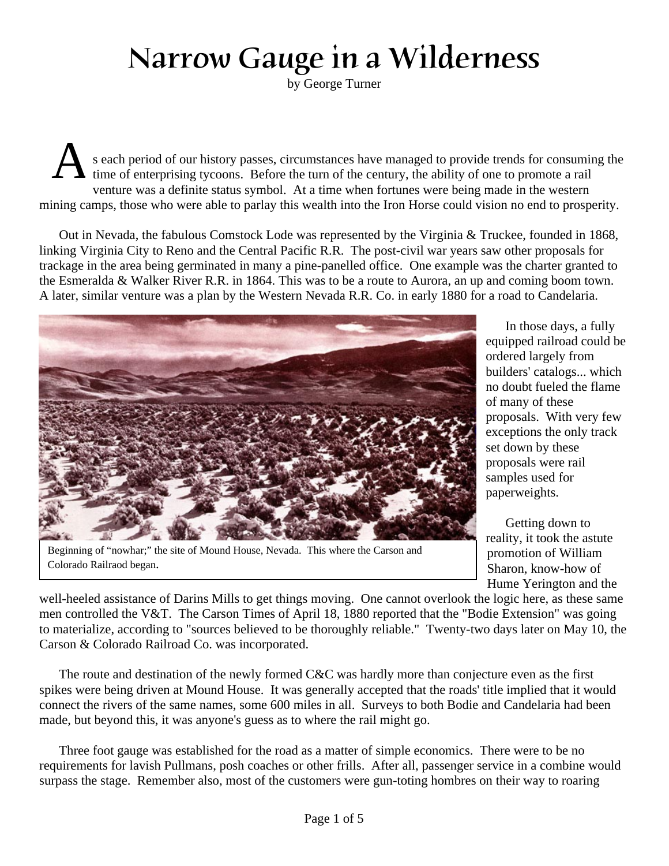## Narrow Gauge in a Wilderness

by George Turner

A s each period of our history passes, circumstances have managed to provide trends for consuming the time of enterprising tycoons. Before the turn of the century, the ability of one to promote a rail venture was a definite status symbol. At a time when fortunes were being made in the western mining camps, those who were able to parlay this wealth into the Iron Horse could vision no end to prosperity.

Out in Nevada, the fabulous Comstock Lode was represented by the Virginia & Truckee, founded in 1868, linking Virginia City to Reno and the Central Pacific R.R. The post-civil war years saw other proposals for trackage in the area being germinated in many a pine-panelled office. One example was the charter granted to the Esmeralda & Walker River R.R. in 1864. This was to be a route to Aurora, an up and coming boom town. A later, similar venture was a plan by the Western Nevada R.R. Co. in early 1880 for a road to Candelaria.



Beginning of "nowhar;" the site of Mound House, Nevada. This where the Carson and Colorado Railraod began.

In those days, a fully equipped railroad could be ordered largely from builders' catalogs... which no doubt fueled the flame of many of these proposals. With very few exceptions the only track set down by these proposals were rail samples used for paperweights.

Getting down to reality, it took the astute promotion of William Sharon, know-how of Hume Yerington and the

well-heeled assistance of Darins Mills to get things moving. One cannot overlook the logic here, as these same men controlled the V&T. The Carson Times of April 18, 1880 reported that the "Bodie Extension" was going to materialize, according to "sources believed to be thoroughly reliable." Twenty-two days later on May 10, the Carson & Colorado Railroad Co. was incorporated.

The route and destination of the newly formed C&C was hardly more than conjecture even as the first spikes were being driven at Mound House. It was generally accepted that the roads' title implied that it would connect the rivers of the same names, some 600 miles in all. Surveys to both Bodie and Candelaria had been made, but beyond this, it was anyone's guess as to where the rail might go.

Three foot gauge was established for the road as a matter of simple economics. There were to be no requirements for lavish Pullmans, posh coaches or other frills. After all, passenger service in a combine would surpass the stage. Remember also, most of the customers were gun-toting hombres on their way to roaring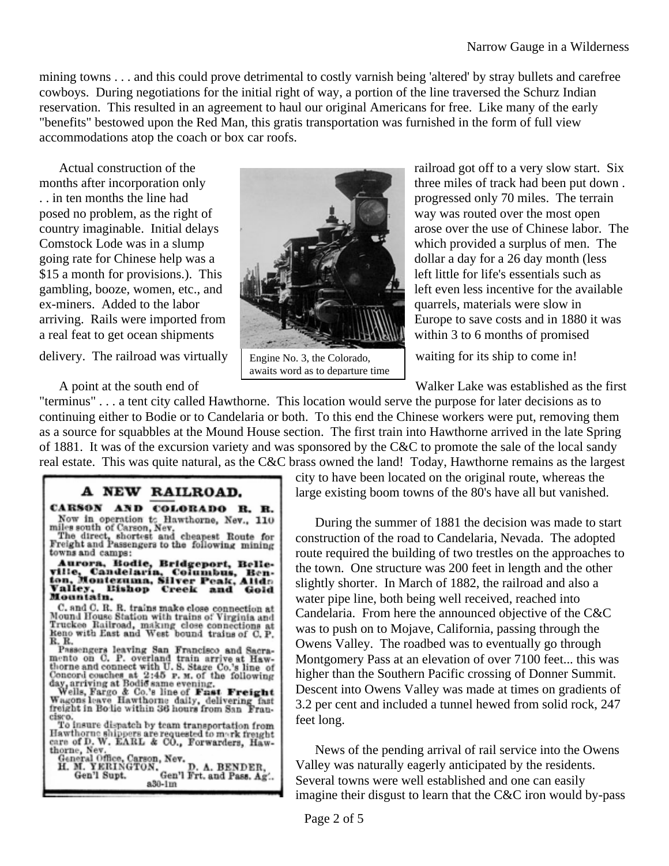mining towns . . . and this could prove detrimental to costly varnish being 'altered' by stray bullets and carefree cowboys. During negotiations for the initial right of way, a portion of the line traversed the Schurz Indian reservation. This resulted in an agreement to haul our original Americans for free. Like many of the early "benefits" bestowed upon the Red Man, this gratis transportation was furnished in the form of full view accommodations atop the coach or box car roofs.

posed no problem, as the right of way was routed over the most open \$15 a month for provisions.). This left little for life's essentials such as ex-miners. Added to the labor quarrels, materials were slow in a real feat to get ocean shipments within 3 to 6 months of promised

delivery. The railroad was virtually  $\Box$  Engine No. 3, the Colorado. Waiting for its ship to come in!



Engine No. 3, the Colorado, awaits word as to departure time

Actual construction of the railroad got off to a very slow start. Six months after incorporation only three miles of track had been put down . .. in ten months the line had progressed only 70 miles. The terrain country imaginable. Initial delays arose over the use of Chinese labor. The Comstock Lode was in a slump which provided a surplus of men. The going rate for Chinese help was a dollar a day for a 26 day month (less gambling, booze, women, etc., and  $\|\cdot\|$ arriving. Rails were imported from Europe to save costs and in 1880 it was

A point at the south end of Walker Lake was established as the first

"terminus" . . . a tent city called Hawthorne. This location would serve the purpose for later decisions as to continuing either to Bodie or to Candelaria or both. To this end the Chinese workers were put, removing them as a source for squabbles at the Mound House section. The first train into Hawthorne arrived in the late Spring of 1881. It was of the excursion variety and was sponsored by the C&C to promote the sale of the local sandy real estate. This was quite natural, as the C&C brass owned the land! Today, Hawthorne remains as the largest

## A NEW RAILROAD. CARSON AND COLORADO R. R. Now in operation to Hawthorne, Nev., 110<br>miles south of Carson, Nev.<br>The direct, shortest and cheapest Route for<br>Freight and Passengers to the following mining towns and camps: www.awv.aup.<br>Murora, Bodie, Bridgeport, Belleville, Candelaría, Columbus, Benton, Montezuma, Silver Peak, Alida<br>Valley, Bishop Creek and Gold<br>Manniai... Valley, E.

C. and C. R. R. trains make close connection at Mound House Station with trains of Virginia and Truckee Railroad, making close connections at Reno with East and West bound trains of C. P.

Reno with East and West bound trains of C.P.<br>R.R.<br>R.B.<br>Passengers leaving San Francisco and Sacra-<br>mento on C. P. overland train arrive at Haw-<br>thorne and connect with U.S. Stage Co.'s line of<br>Concord couches at 2:45 P. M

cisco.<br>To insure dispatch by team transportation from<br>Hawthorne shippers are requested to mark freught<br>care of D. W. EARL & CO., Forwarders, Hawthorne, Nev.

care of D.W. EARL & CO., Forwarders, Haw-<br>thorne, New.<br>General Office, Carson, New.<br>H. M. YERINGTON.<br>Gen'l Supt.<br>6en'l Supt.<br>a30-lm<br>a30-lm

city to have been located on the original route, whereas the large existing boom towns of the 80's have all but vanished.

During the summer of 1881 the decision was made to start construction of the road to Candelaria, Nevada. The adopted route required the building of two trestles on the approaches to the town. One structure was 200 feet in length and the other slightly shorter. In March of 1882, the railroad and also a water pipe line, both being well received, reached into Candelaria. From here the announced objective of the C&C was to push on to Mojave, California, passing through the Owens Valley. The roadbed was to eventually go through Montgomery Pass at an elevation of over 7100 feet... this was higher than the Southern Pacific crossing of Donner Summit. Descent into Owens Valley was made at times on gradients of 3.2 per cent and included a tunnel hewed from solid rock, 247 feet long.

News of the pending arrival of rail service into the Owens Valley was naturally eagerly anticipated by the residents. Several towns were well established and one can easily imagine their disgust to learn that the C&C iron would by-pass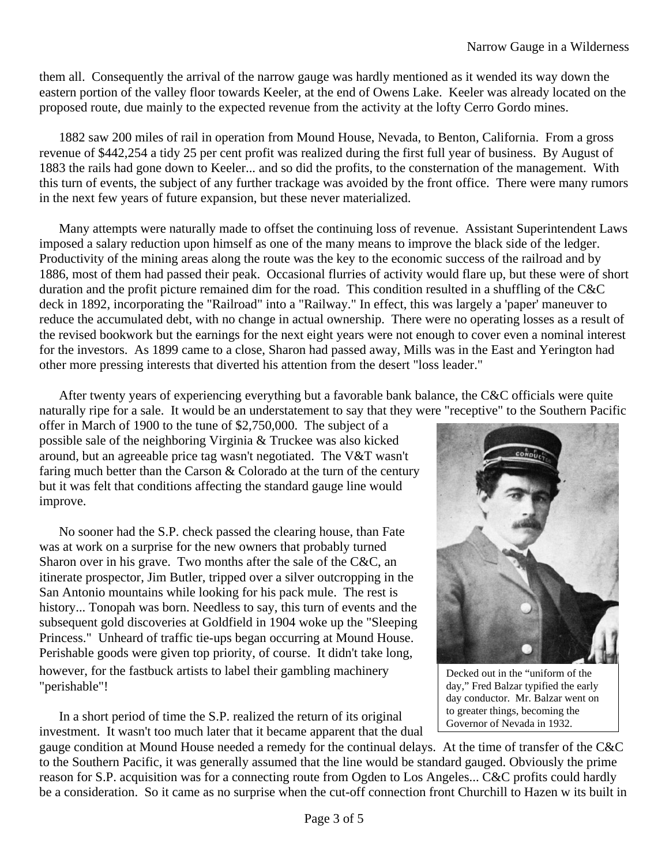them all. Consequently the arrival of the narrow gauge was hardly mentioned as it wended its way down the eastern portion of the valley floor towards Keeler, at the end of Owens Lake. Keeler was already located on the proposed route, due mainly to the expected revenue from the activity at the lofty Cerro Gordo mines.

1882 saw 200 miles of rail in operation from Mound House, Nevada, to Benton, California. From a gross revenue of \$442,254 a tidy 25 per cent profit was realized during the first full year of business. By August of 1883 the rails had gone down to Keeler... and so did the profits, to the consternation of the management. With this turn of events, the subject of any further trackage was avoided by the front office. There were many rumors in the next few years of future expansion, but these never materialized.

Many attempts were naturally made to offset the continuing loss of revenue. Assistant Superintendent Laws imposed a salary reduction upon himself as one of the many means to improve the black side of the ledger. Productivity of the mining areas along the route was the key to the economic success of the railroad and by 1886, most of them had passed their peak. Occasional flurries of activity would flare up, but these were of short duration and the profit picture remained dim for the road. This condition resulted in a shuffling of the C&C deck in 1892, incorporating the "Railroad" into a "Railway." In effect, this was largely a 'paper' maneuver to reduce the accumulated debt, with no change in actual ownership. There were no operating losses as a result of the revised bookwork but the earnings for the next eight years were not enough to cover even a nominal interest for the investors. As 1899 came to a close, Sharon had passed away, Mills was in the East and Yerington had other more pressing interests that diverted his attention from the desert "loss leader."

After twenty years of experiencing everything but a favorable bank balance, the C&C officials were quite naturally ripe for a sale. It would be an understatement to say that they were "receptive" to the Southern Pacific

offer in March of 1900 to the tune of \$2,750,000. The subject of a possible sale of the neighboring Virginia & Truckee was also kicked around, but an agreeable price tag wasn't negotiated. The V&T wasn't faring much better than the Carson  $&$  Colorado at the turn of the century but it was felt that conditions affecting the standard gauge line would improve.

No sooner had the S.P. check passed the clearing house, than Fate was at work on a surprise for the new owners that probably turned Sharon over in his grave. Two months after the sale of the C&C, an itinerate prospector, Jim Butler, tripped over a silver outcropping in the San Antonio mountains while looking for his pack mule. The rest is history... Tonopah was born. Needless to say, this turn of events and the subsequent gold discoveries at Goldfield in 1904 woke up the "Sleeping Princess." Unheard of traffic tie-ups began occurring at Mound House. Perishable goods were given top priority, of course. It didn't take long, however, for the fastbuck artists to label their gambling machinery "perishable"!

In a short period of time the S.P. realized the return of its original investment. It wasn't too much later that it became apparent that the dual



Decked out in the "uniform of the day," Fred Balzar typified the early day conductor. Mr. Balzar went on to greater things, becoming the Governor of Nevada in 1932.

gauge condition at Mound House needed a remedy for the continual delays. At the time of transfer of the C&C to the Southern Pacific, it was generally assumed that the line would be standard gauged. Obviously the prime reason for S.P. acquisition was for a connecting route from Ogden to Los Angeles... C&C profits could hardly be a consideration. So it came as no surprise when the cut-off connection front Churchill to Hazen w its built in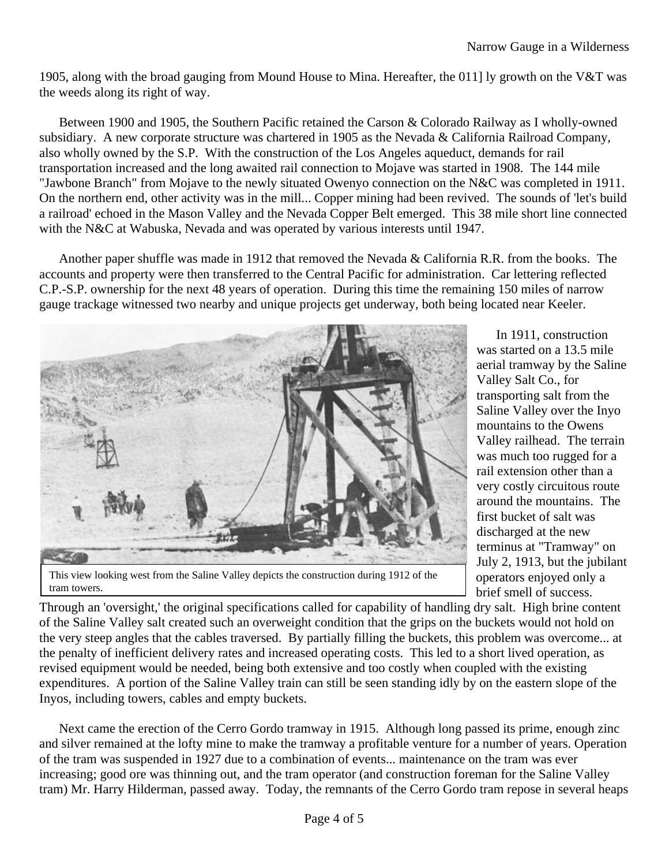1905, along with the broad gauging from Mound House to Mina. Hereafter, the 011] ly growth on the V&T was the weeds along its right of way.

Between 1900 and 1905, the Southern Pacific retained the Carson & Colorado Railway as I wholly-owned subsidiary. A new corporate structure was chartered in 1905 as the Nevada & California Railroad Company, also wholly owned by the S.P. With the construction of the Los Angeles aqueduct, demands for rail transportation increased and the long awaited rail connection to Mojave was started in 1908. The 144 mile "Jawbone Branch" from Mojave to the newly situated Owenyo connection on the N&C was completed in 1911. On the northern end, other activity was in the mill... Copper mining had been revived. The sounds of 'let's build a railroad' echoed in the Mason Valley and the Nevada Copper Belt emerged. This 38 mile short line connected with the N&C at Wabuska, Nevada and was operated by various interests until 1947.

Another paper shuffle was made in 1912 that removed the Nevada & California R.R. from the books. The accounts and property were then transferred to the Central Pacific for administration. Car lettering reflected C.P.-S.P. ownership for the next 48 years of operation. During this time the remaining 150 miles of narrow gauge trackage witnessed two nearby and unique projects get underway, both being located near Keeler.



In 1911, construction was started on a 13.5 mile aerial tramway by the Saline Valley Salt Co., for transporting salt from the Saline Valley over the Inyo mountains to the Owens Valley railhead. The terrain was much too rugged for a rail extension other than a very costly circuitous route around the mountains. The first bucket of salt was discharged at the new terminus at "Tramway" on July 2, 1913, but the jubilant operators enjoyed only a brief smell of success.

This view looking west from the Saline Valley depicts the construction during 1912 of the tram towers.

Through an 'oversight,' the original specifications called for capability of handling dry salt. High brine content of the Saline Valley salt created such an overweight condition that the grips on the buckets would not hold on the very steep angles that the cables traversed. By partially filling the buckets, this problem was overcome... at the penalty of inefficient delivery rates and increased operating costs. This led to a short lived operation, as revised equipment would be needed, being both extensive and too costly when coupled with the existing expenditures. A portion of the Saline Valley train can still be seen standing idly by on the eastern slope of the Inyos, including towers, cables and empty buckets.

Next came the erection of the Cerro Gordo tramway in 1915. Although long passed its prime, enough zinc and silver remained at the lofty mine to make the tramway a profitable venture for a number of years. Operation of the tram was suspended in 1927 due to a combination of events... maintenance on the tram was ever increasing; good ore was thinning out, and the tram operator (and construction foreman for the Saline Valley tram) Mr. Harry Hilderman, passed away. Today, the remnants of the Cerro Gordo tram repose in several heaps